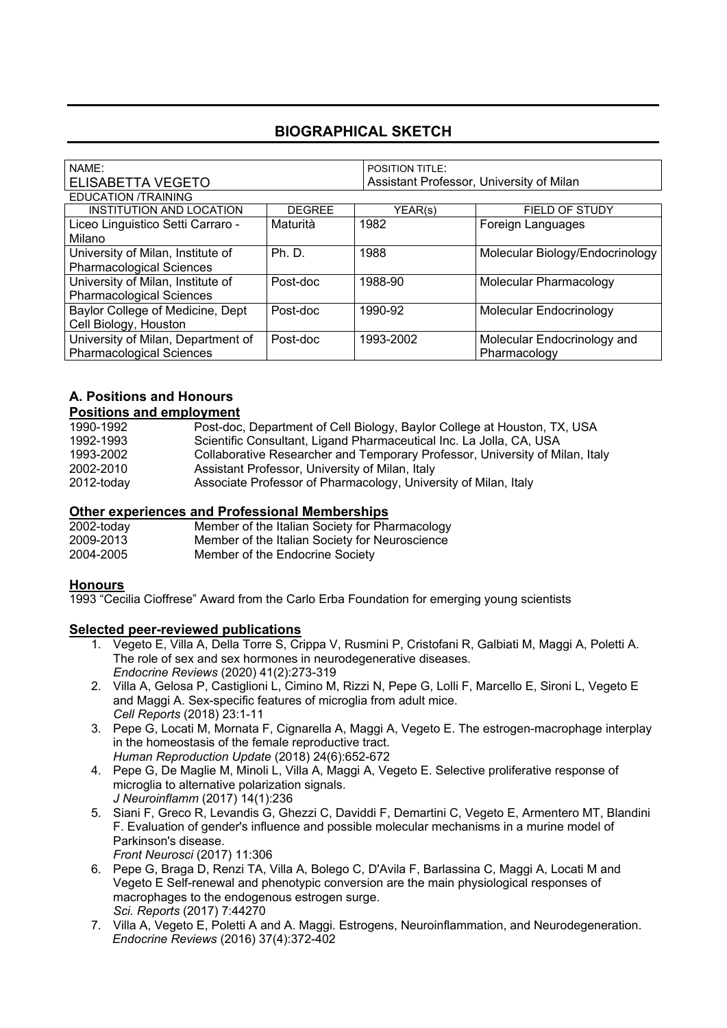## **BIOGRAPHICAL SKETCH**

|                          | <b>POSITION TITLE:</b> |                                          |  |
|--------------------------|------------------------|------------------------------------------|--|
| <b>ELISABETTA VEGETO</b> |                        | Assistant Professor, University of Milan |  |
|                          |                        |                                          |  |
| <b>DEGREE</b>            | YEAR(s)                | <b>FIELD OF STUDY</b>                    |  |
| Maturità                 | 1982                   | Foreign Languages                        |  |
|                          |                        |                                          |  |
| Ph.D.                    | 1988                   | Molecular Biology/Endocrinology          |  |
|                          |                        |                                          |  |
| Post-doc                 | 1988-90                | Molecular Pharmacology                   |  |
|                          |                        |                                          |  |
| Post-doc                 | 1990-92                | Molecular Endocrinology                  |  |
|                          |                        |                                          |  |
| Post-doc                 | 1993-2002              | Molecular Endocrinology and              |  |
|                          |                        | Pharmacology                             |  |
|                          |                        |                                          |  |

# **A. Positions and Honours**

| <b>Positions and employment</b> |                                                                              |  |
|---------------------------------|------------------------------------------------------------------------------|--|
| 1990-1992                       | Post-doc, Department of Cell Biology, Baylor College at Houston, TX, USA     |  |
| 1992-1993                       | Scientific Consultant, Ligand Pharmaceutical Inc. La Jolla, CA, USA          |  |
| 1993-2002                       | Collaborative Researcher and Temporary Professor, University of Milan, Italy |  |
| 2002-2010                       | Assistant Professor, University of Milan, Italy                              |  |
| 2012-today                      | Associate Professor of Pharmacology, University of Milan, Italy              |  |

#### **Other experiences and Professional Memberships**

| 2002-today | Member of the Italian Society for Pharmacology |
|------------|------------------------------------------------|
| 2009-2013  | Member of the Italian Society for Neuroscience |
| 2004-2005  | Member of the Endocrine Society                |

#### **Honours**

1993 "Cecilia Cioffrese" Award from the Carlo Erba Foundation for emerging young scientists

#### **Selected peer-reviewed publications**

- 1. Vegeto E, Villa A, Della Torre S, Crippa V, Rusmini P, Cristofani R, Galbiati M, Maggi A, Poletti A. The role of sex and sex hormones in neurodegenerative diseases. *Endocrine Reviews* (2020) 41(2):273-319
- 2. Villa A, Gelosa P, Castiglioni L, Cimino M, Rizzi N, Pepe G, Lolli F, Marcello E, Sironi L, Vegeto E and Maggi A. Sex-specific features of microglia from adult mice. *Cell Reports* (2018) 23:1-11
- 3. Pepe G, Locati M, Mornata F, Cignarella A, Maggi A, Vegeto E. The estrogen-macrophage interplay in the homeostasis of the female reproductive tract. *Human Reproduction Update* (2018) 24(6):652-672
- 4. Pepe G, De Maglie M, Minoli L, Villa A, Maggi A, Vegeto E. Selective proliferative response of microglia to alternative polarization signals. *J Neuroinflamm* (2017) 14(1):236
- 5. Siani F, Greco R, Levandis G, Ghezzi C, Daviddi F, Demartini C, Vegeto E, Armentero MT, Blandini F. Evaluation of gender's influence and possible molecular mechanisms in a murine model of Parkinson's disease.

*Front Neurosci* (2017) 11:306

- 6. Pepe G, Braga D, Renzi TA, Villa A, Bolego C, D'Avila F, Barlassina C, Maggi A, Locati M and Vegeto E Self-renewal and phenotypic conversion are the main physiological responses of macrophages to the endogenous estrogen surge. *Sci. Reports* (2017) 7:44270
- 7. Villa A, Vegeto E, Poletti A and A. Maggi. Estrogens, Neuroinflammation, and Neurodegeneration. *Endocrine Reviews* (2016) 37(4):372-402